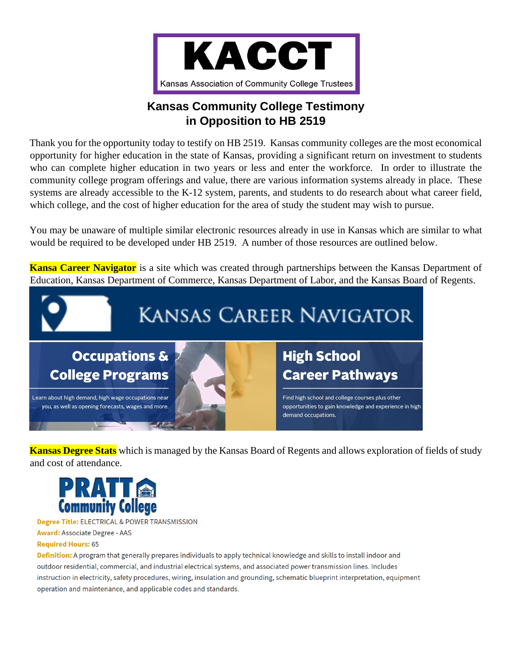

## **Kansas Community College Testimony in Opposition to HB 2519**

Thank you for the opportunity today to testify on HB 2519. Kansas community colleges are the most economical opportunity for higher education in the state of Kansas, providing a significant return on investment to students who can complete higher education in two years or less and enter the workforce. In order to illustrate the community college program offerings and value, there are various information systems already in place. These systems are already accessible to the K-12 system, parents, and students to do research about what career field, which college, and the cost of higher education for the area of study the student may wish to pursue.

You may be unaware of multiple similar electronic resources already in use in Kansas which are similar to what would be required to be developed under HB 2519. A number of those resources are outlined below.

**Kansa Career Navigator** is a site which was created through partnerships between the Kansas Department of Education, Kansas Department of Commerce, Kansas Department of Labor, and the Kansas Board of Regents.



**Kansas Degree Stats** which is managed by the Kansas Board of Regents and allows exploration of fields of study and cost of attendance.



Degree Title: ELECTRICAL & POWER TRANSMISSION

**Award: Associate Degree - AAS** 

#### **Required Hours: 65**

Definition: A program that generally prepares individuals to apply technical knowledge and skills to install indoor and outdoor residential, commercial, and industrial electrical systems, and associated power transmission lines. Includes instruction in electricity, safety procedures, wiring, insulation and grounding, schematic blueprint interpretation, equipment operation and maintenance, and applicable codes and standards.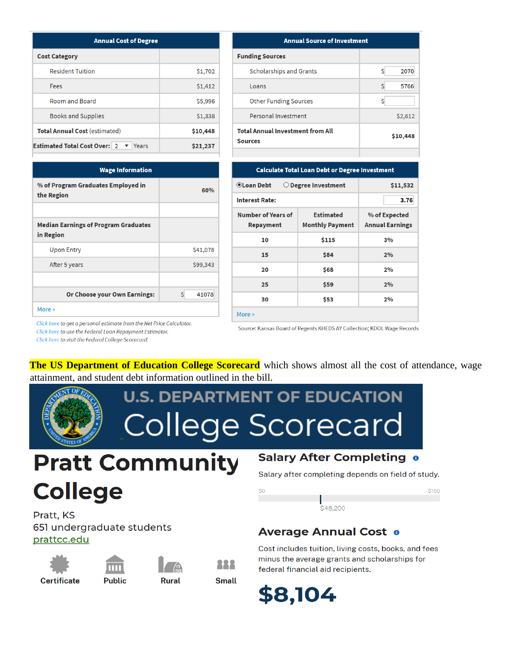| <b>Annual Cost of Degree</b>                 |          |  |  |  |
|----------------------------------------------|----------|--|--|--|
| <b>Cost Category</b>                         |          |  |  |  |
| <b>Resident Tuition</b>                      | \$1,702  |  |  |  |
| Fees                                         | \$1,412  |  |  |  |
| Room and Board                               | \$5,996  |  |  |  |
| <b>Books and Supplies</b>                    | \$1,338  |  |  |  |
| <b>Total Annual Cost (estimated)</b>         | \$10,448 |  |  |  |
| <b>Estimated Total Cost Over: 2</b><br>Years | \$21,237 |  |  |  |

| 60%         |
|-------------|
|             |
|             |
| \$41,078    |
| \$99,343    |
|             |
| \$<br>41078 |
|             |
|             |

| <b>Annual Source of Investment</b>                        |           |  |  |  |  |
|-----------------------------------------------------------|-----------|--|--|--|--|
| <b>Funding Sources</b>                                    |           |  |  |  |  |
| <b>Scholarships and Grants</b>                            | 2070<br>Ś |  |  |  |  |
| Loans                                                     | Ś<br>5766 |  |  |  |  |
| <b>Other Funding Sources</b>                              | Ś         |  |  |  |  |
| <b>Personal Investment</b>                                | \$2,612   |  |  |  |  |
| <b>Total Annual Investment from All</b><br><b>Sources</b> | \$10,448  |  |  |  |  |
|                                                           |           |  |  |  |  |

| <b>Calculate Total Loan Debt or Degree Investment</b>                  |                                            |                                         |  |  |  |  |
|------------------------------------------------------------------------|--------------------------------------------|-----------------------------------------|--|--|--|--|
| OLoan Debt<br>$\bigcirc$ Degree Investment                             | \$11,532                                   |                                         |  |  |  |  |
| <b>Interest Rate:</b>                                                  | 3.76                                       |                                         |  |  |  |  |
| Number of Years of<br>Repayment                                        | <b>Estimated</b><br><b>Monthly Payment</b> | % of Expected<br><b>Annual Earnings</b> |  |  |  |  |
| 10                                                                     | \$115                                      | 3%                                      |  |  |  |  |
| 15                                                                     | \$84                                       | 2%                                      |  |  |  |  |
| 20                                                                     | \$68                                       | 2%                                      |  |  |  |  |
| 25                                                                     | \$59                                       | 2%                                      |  |  |  |  |
| 30                                                                     | \$53                                       | 2%                                      |  |  |  |  |
| More »                                                                 |                                            |                                         |  |  |  |  |
| Source: Kansas Board of Regents KHEDS AY Collection; KDOL Wage Records |                                            |                                         |  |  |  |  |

Click here to get a personal estimate from the Net Price Calculator. Click here to use the Federal Loan Repayment Estimator. Click here to visit the Federal College Scorecard.

The US Department of Education College Scorecard which shows almost all the cost of attendance, wage attainment, and student debt information outlined in the bill.

# **U.S. DEPARTMENT OF EDUCATION College Scorecard**

# **Pratt Community College**

#### Pratt, KS 651 undergraduate students prattcc.edu









#### **Salary After Completing o**

Salary after completing depends on field of study.



## **Average Annual Cost o**

Cost includes tuition, living costs, books, and fees minus the average grants and scholarships for federal financial aid recipients.